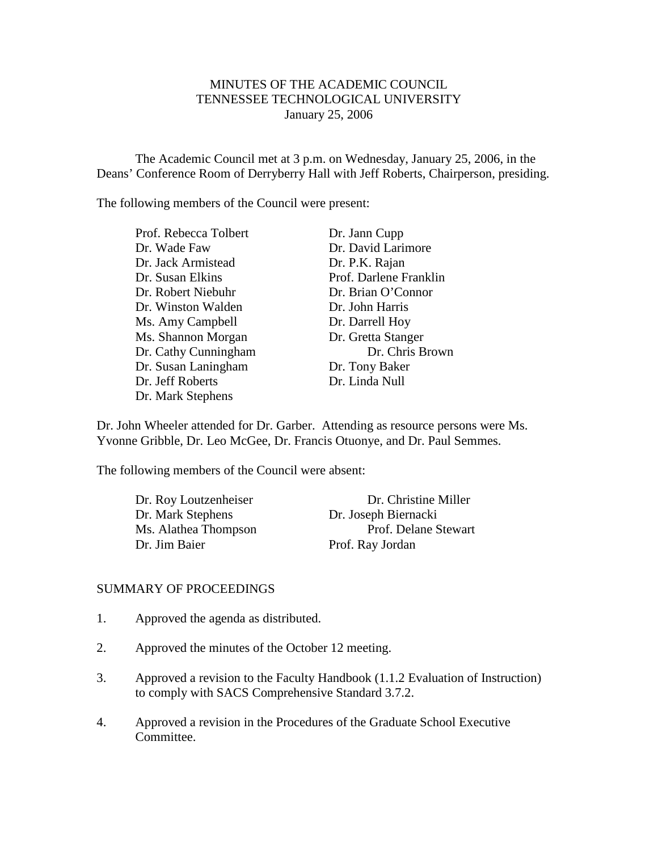# MINUTES OF THE ACADEMIC COUNCIL TENNESSEE TECHNOLOGICAL UNIVERSITY January 25, 2006

The Academic Council met at 3 p.m. on Wednesday, January 25, 2006, in the Deans' Conference Room of Derryberry Hall with Jeff Roberts, Chairperson, presiding.

The following members of the Council were present:

Prof. Rebecca Tolbert Dr. Jann Cupp Dr. Wade Faw Dr. David Larimore Dr. Jack Armistead Dr. P.K. Rajan Dr. Susan Elkins Prof. Darlene Franklin Dr. Robert Niebuhr Dr. Brian O'Connor Dr. Winston Walden Dr. John Harris Ms. Amy Campbell Dr. Darrell Hoy Ms. Shannon Morgan Dr. Gretta Stanger Dr. Susan Laningham Dr. Tony Baker Dr. Jeff Roberts Dr. Linda Null Dr. Mark Stephens

Dr. Cathy Cunningham Dr. Chris Brown

Dr. John Wheeler attended for Dr. Garber. Attending as resource persons were Ms. Yvonne Gribble, Dr. Leo McGee, Dr. Francis Otuonye, and Dr. Paul Semmes.

The following members of the Council were absent:

| Dr. Roy Loutzenheiser | Dr. Christine Miller |
|-----------------------|----------------------|
| Dr. Mark Stephens     | Dr. Joseph Biernacki |
| Ms. Alathea Thompson  | Prof. Delane Stewart |
| Dr. Jim Baier         | Prof. Ray Jordan     |

#### SUMMARY OF PROCEEDINGS

- 1. Approved the agenda as distributed.
- 2. Approved the minutes of the October 12 meeting.
- 3. Approved a revision to the Faculty Handbook (1.1.2 Evaluation of Instruction) to comply with SACS Comprehensive Standard 3.7.2.
- 4. Approved a revision in the Procedures of the Graduate School Executive Committee.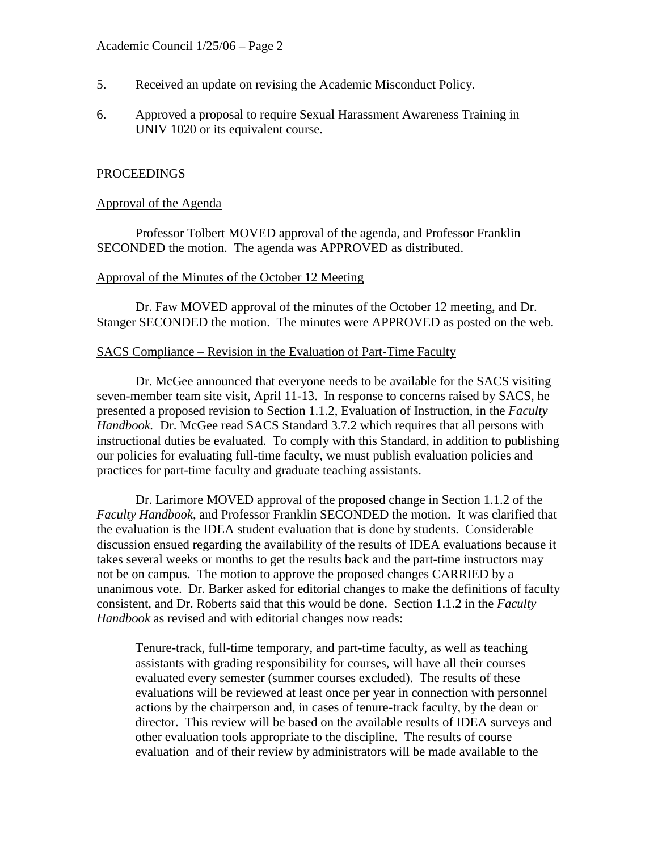- 5. Received an update on revising the Academic Misconduct Policy.
- 6. Approved a proposal to require Sexual Harassment Awareness Training in UNIV 1020 or its equivalent course.

### PROCEEDINGS

#### Approval of the Agenda

Professor Tolbert MOVED approval of the agenda, and Professor Franklin SECONDED the motion. The agenda was APPROVED as distributed.

### Approval of the Minutes of the October 12 Meeting

Dr. Faw MOVED approval of the minutes of the October 12 meeting, and Dr. Stanger SECONDED the motion. The minutes were APPROVED as posted on the web.

### SACS Compliance – Revision in the Evaluation of Part-Time Faculty

Dr. McGee announced that everyone needs to be available for the SACS visiting seven-member team site visit, April 11-13. In response to concerns raised by SACS, he presented a proposed revision to Section 1.1.2, Evaluation of Instruction, in the *Faculty Handbook.* Dr. McGee read SACS Standard 3.7.2 which requires that all persons with instructional duties be evaluated. To comply with this Standard, in addition to publishing our policies for evaluating full-time faculty, we must publish evaluation policies and practices for part-time faculty and graduate teaching assistants.

Dr. Larimore MOVED approval of the proposed change in Section 1.1.2 of the *Faculty Handbook*, and Professor Franklin SECONDED the motion. It was clarified that the evaluation is the IDEA student evaluation that is done by students. Considerable discussion ensued regarding the availability of the results of IDEA evaluations because it takes several weeks or months to get the results back and the part-time instructors may not be on campus. The motion to approve the proposed changes CARRIED by a unanimous vote. Dr. Barker asked for editorial changes to make the definitions of faculty consistent, and Dr. Roberts said that this would be done. Section 1.1.2 in the *Faculty Handbook* as revised and with editorial changes now reads:

Tenure-track, full-time temporary, and part-time faculty, as well as teaching assistants with grading responsibility for courses, will have all their courses evaluated every semester (summer courses excluded). The results of these evaluations will be reviewed at least once per year in connection with personnel actions by the chairperson and, in cases of tenure-track faculty, by the dean or director. This review will be based on the available results of IDEA surveys and other evaluation tools appropriate to the discipline. The results of course evaluation and of their review by administrators will be made available to the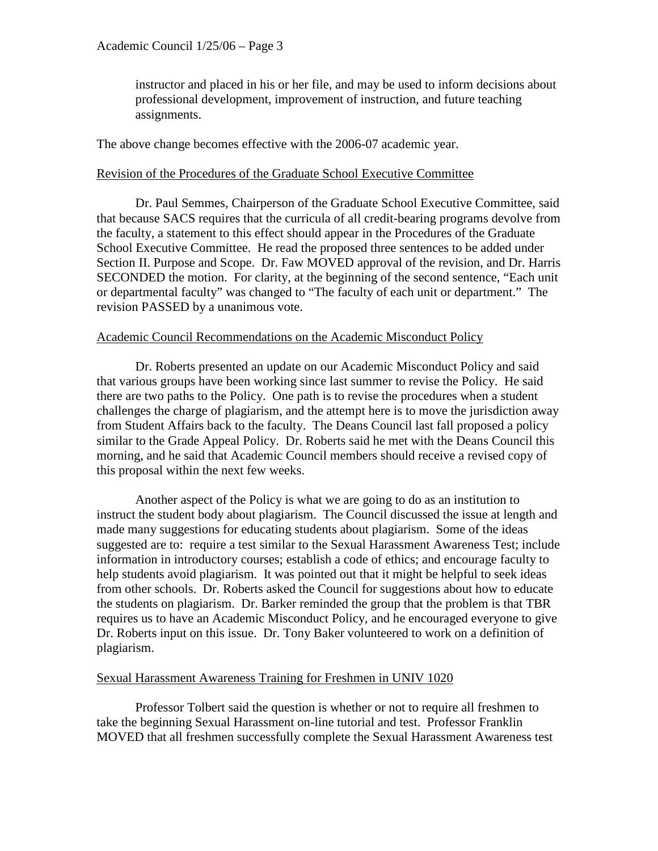instructor and placed in his or her file, and may be used to inform decisions about professional development, improvement of instruction, and future teaching assignments.

The above change becomes effective with the 2006-07 academic year.

## Revision of the Procedures of the Graduate School Executive Committee

Dr. Paul Semmes, Chairperson of the Graduate School Executive Committee, said that because SACS requires that the curricula of all credit-bearing programs devolve from the faculty, a statement to this effect should appear in the Procedures of the Graduate School Executive Committee. He read the proposed three sentences to be added under Section II. Purpose and Scope. Dr. Faw MOVED approval of the revision, and Dr. Harris SECONDED the motion. For clarity, at the beginning of the second sentence, "Each unit or departmental faculty" was changed to "The faculty of each unit or department." The revision PASSED by a unanimous vote.

# Academic Council Recommendations on the Academic Misconduct Policy

Dr. Roberts presented an update on our Academic Misconduct Policy and said that various groups have been working since last summer to revise the Policy. He said there are two paths to the Policy. One path is to revise the procedures when a student challenges the charge of plagiarism, and the attempt here is to move the jurisdiction away from Student Affairs back to the faculty. The Deans Council last fall proposed a policy similar to the Grade Appeal Policy. Dr. Roberts said he met with the Deans Council this morning, and he said that Academic Council members should receive a revised copy of this proposal within the next few weeks.

Another aspect of the Policy is what we are going to do as an institution to instruct the student body about plagiarism. The Council discussed the issue at length and made many suggestions for educating students about plagiarism. Some of the ideas suggested are to: require a test similar to the Sexual Harassment Awareness Test; include information in introductory courses; establish a code of ethics; and encourage faculty to help students avoid plagiarism. It was pointed out that it might be helpful to seek ideas from other schools. Dr. Roberts asked the Council for suggestions about how to educate the students on plagiarism. Dr. Barker reminded the group that the problem is that TBR requires us to have an Academic Misconduct Policy, and he encouraged everyone to give Dr. Roberts input on this issue. Dr. Tony Baker volunteered to work on a definition of plagiarism.

## Sexual Harassment Awareness Training for Freshmen in UNIV 1020

Professor Tolbert said the question is whether or not to require all freshmen to take the beginning Sexual Harassment on-line tutorial and test. Professor Franklin MOVED that all freshmen successfully complete the Sexual Harassment Awareness test